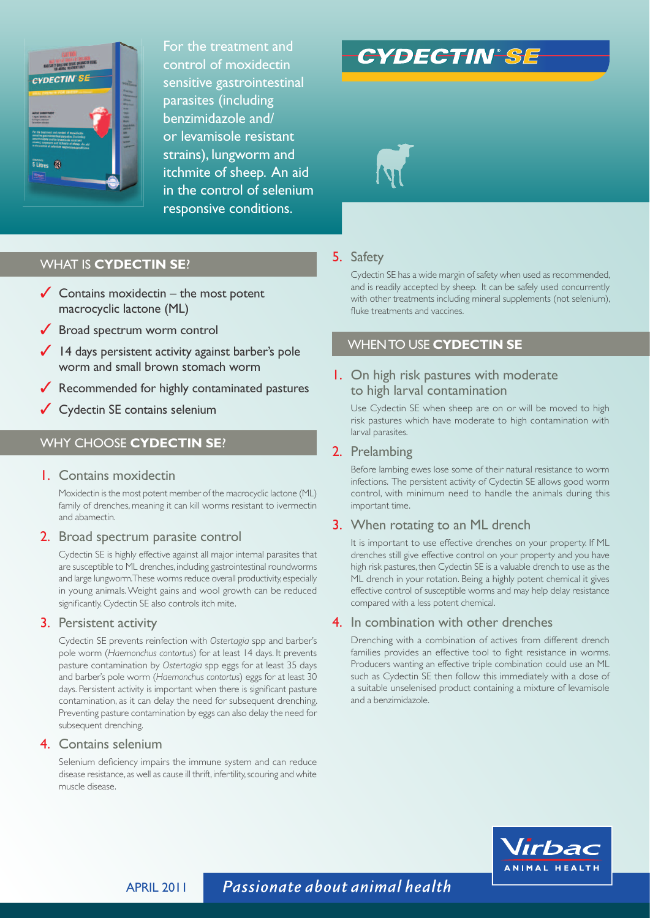

For the treatment and control of moxidectin sensitive gastrointestinal parasites (including benzimidazole and/ or levamisole resistant strains), lungworm and itchmite of sheep. An aid in the control of selenium responsive conditions.

# **CYDECTIN'SE**



# WHAT IS **CYDECTIN SE**?

- $\checkmark$  Contains moxidectin the most potent macrocyclic lactone (ML)
- ◆ Broad spectrum worm control
- $\checkmark$  14 days persistent activity against barber's pole worm and small brown stomach worm
- ✓ Recommended for highly contaminated pastures
- ✓ Cydectin SE contains selenium

# WHY CHOOSE **CYDECTIN SE**?

### 1. Contains moxidectin

 Moxidectin is the most potent member of the macrocyclic lactone (ML) family of drenches, meaning it can kill worms resistant to ivermectin and abamectin.

#### 2. Broad spectrum parasite control

 Cydectin SE is highly effective against all major internal parasites that are susceptible to ML drenches, including gastrointestinal roundworms and large lungworm. These worms reduce overall productivity, especially in young animals. Weight gains and wool growth can be reduced significantly. Cydectin SE also controls itch mite.

#### 3. Persistent activity

 Cydectin SE prevents reinfection with *Ostertagia* spp and barber's pole worm (*Haemonchus contortus*) for at least 14 days. It prevents pasture contamination by *Ostertagia* spp eggs for at least 35 days and barber's pole worm (*Haemonchus contortus*) eggs for at least 30 days. Persistent activity is important when there is significant pasture contamination, as it can delay the need for subsequent drenching. Preventing pasture contamination by eggs can also delay the need for subsequent drenching.

### 4. Contains selenium

Selenium deficiency impairs the immune system and can reduce disease resistance, as well as cause ill thrift, infertility, scouring and white muscle disease.

# 5. Safety

 Cydectin SE has a wide margin of safety when used as recommended, and is readily accepted by sheep. It can be safely used concurrently with other treatments including mineral supplements (not selenium), fluke treatments and vaccines.

# WHEN TO USE **CYDECTIN SE**

# 1. On high risk pastures with moderate to high larval contamination

 Use Cydectin SE when sheep are on or will be moved to high risk pastures which have moderate to high contamination with larval parasites.

## 2. Prelambing

 Before lambing ewes lose some of their natural resistance to worm infections. The persistent activity of Cydectin SE allows good worm control, with minimum need to handle the animals during this important time.

## 3. When rotating to an ML drench

 It is important to use effective drenches on your property. If ML drenches still give effective control on your property and you have high risk pastures, then Cydectin SE is a valuable drench to use as the ML drench in your rotation. Being a highly potent chemical it gives effective control of susceptible worms and may help delay resistance compared with a less potent chemical.

### 4. In combination with other drenches

 Drenching with a combination of actives from different drench families provides an effective tool to fight resistance in worms. Producers wanting an effective triple combination could use an ML such as Cydectin SE then follow this immediately with a dose of a suitable unselenised product containing a mixture of levamisole and a benzimidazole.



APRIL 2011